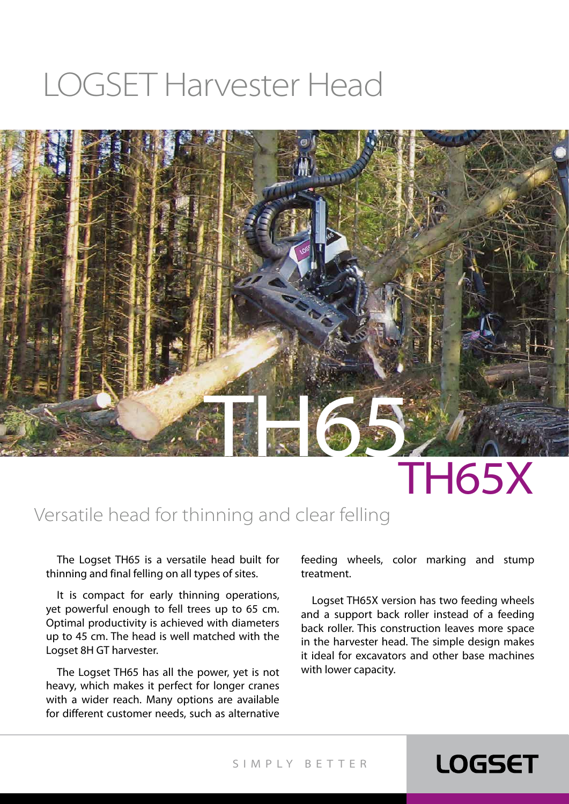## LOGSET Harvester Head



# TH65X

**LOGSET** 

#### Versatile head for thinning and clear felling

The Logset TH65 is a versatile head built for thinning and final felling on all types of sites.

It is compact for early thinning operations, yet powerful enough to fell trees up to 65 cm. Optimal productivity is achieved with diameters up to 45 cm. The head is well matched with the Logset 8H GT harvester.

The Logset TH65 has all the power, yet is not heavy, which makes it perfect for longer cranes with a wider reach. Many options are available for different customer needs, such as alternative feeding wheels, color marking and stump treatment.

Logset TH65X version has two feeding wheels and a support back roller instead of a feeding back roller. This construction leaves more space in the harvester head. The simple design makes it ideal for excavators and other base machines with lower capacity.

SIMPLY BET TER